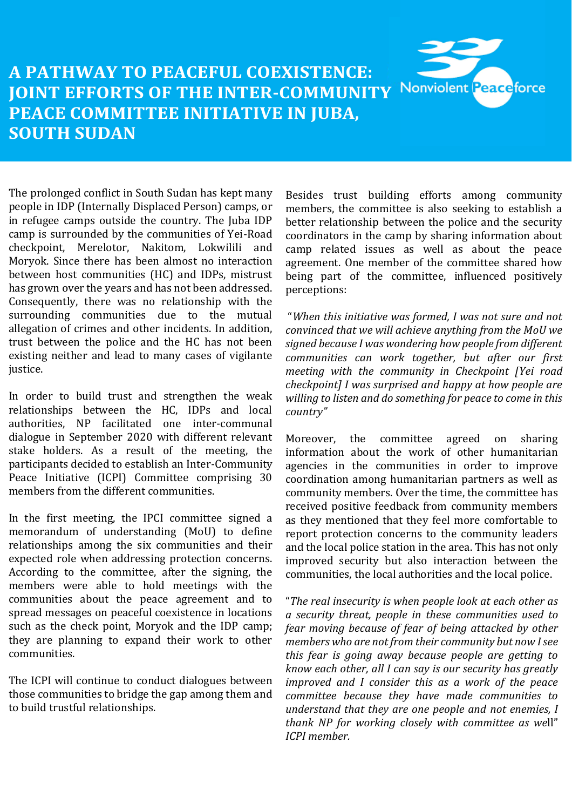## **A PATHWAY TO PEACEFUL COEXISTENCE:**  Nonviolent Peaceforce **JOINT EFFORTS OF THE INTER-COMMUNITY PEACE COMMITTEE INITIATIVE IN JUBA, SOUTH SUDAN**

The prolonged conflict in South Sudan has kept many people in IDP (Internally Displaced Person) camps, or in refugee camps outside the country. The Juba IDP camp is surrounded by the communities of Yei-Road checkpoint, Merelotor, Nakitom, Lokwilili and Moryok. Since there has been almost no interaction between host communities (HC) and IDPs, mistrust has grown over the years and has not been addressed. Consequently, there was no relationship with the surrounding communities due to the mutual allegation of crimes and other incidents. In addition, trust between the police and the HC has not been existing neither and lead to many cases of vigilante justice.

In order to build trust and strengthen the weak relationships between the HC, IDPs and local authorities, NP facilitated one inter-communal dialogue in September 2020 with different relevant stake holders. As a result of the meeting, the participants decided to establish an Inter-Community Peace Initiative (ICPI) Committee comprising 30 members from the different communities.

In the first meeting, the IPCI committee signed a memorandum of understanding (MoU) to define relationships among the six communities and their expected role when addressing protection concerns. According to the committee, after the signing, the members were able to hold meetings with the communities about the peace agreement and to spread messages on peaceful coexistence in locations such as the check point, Moryok and the IDP camp; they are planning to expand their work to other communities.

The ICPI will continue to conduct dialogues between those communities to bridge the gap among them and to build trustful relationships.

Besides trust building efforts among community members, the committee is also seeking to establish a better relationship between the police and the security coordinators in the camp by sharing information about camp related issues as well as about the peace agreement. One member of the committee shared how being part of the committee, influenced positively perceptions:

"*When this initiative was formed, I was not sure and not convinced that we will achieve anything from the MoU we signed because I was wondering how people from different communities can work together, but after our first meeting with the community in Checkpoint [Yei road checkpoint] I was surprised and happy at how people are willing to listen and do something for peace to come in this country"* 

Moreover, the committee agreed on sharing information about the work of other humanitarian agencies in the communities in order to improve coordination among humanitarian partners as well as community members. Over the time, the committee has received positive feedback from community members as they mentioned that they feel more comfortable to report protection concerns to the community leaders and the local police station in the area. This has not only improved security but also interaction between the communities, the local authorities and the local police.

"*The real insecurity is when people look at each other as a security threat, people in these communities used to fear moving because of fear of being attacked by other members who are not from their community but now I see this fear is going away because people are getting to know each other, all I can say is our security has greatly improved and I consider this as a work of the peace committee because they have made communities to understand that they are one people and not enemies, I thank NP for working closely with committee as we*ll" *ICPI member.*